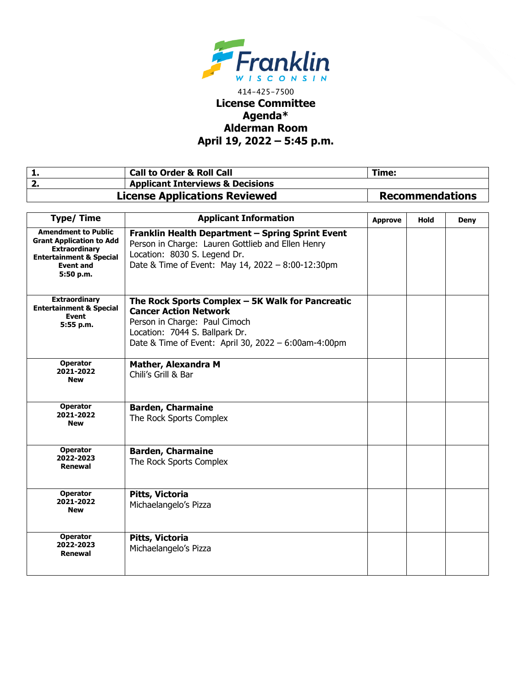

## 414-425-7500 **License Committee Agenda\* Alderman Room April 19, 2022 – 5:45 p.m.**

| <b>Call to Order &amp; Roll Call</b>        | Time:                  |
|---------------------------------------------|------------------------|
| <b>Applicant Interviews &amp; Decisions</b> |                        |
| <b>License Applications Reviewed</b>        | <b>Recommendations</b> |

| <b>Type/Time</b>                                                                                                                                             | <b>Applicant Information</b>                                                                                                                                                                                | <b>Approve</b> | Hold | <b>Deny</b> |
|--------------------------------------------------------------------------------------------------------------------------------------------------------------|-------------------------------------------------------------------------------------------------------------------------------------------------------------------------------------------------------------|----------------|------|-------------|
| <b>Amendment to Public</b><br><b>Grant Application to Add</b><br><b>Extraordinary</b><br><b>Entertainment &amp; Special</b><br><b>Event and</b><br>5:50 p.m. | Franklin Health Department - Spring Sprint Event<br>Person in Charge: Lauren Gottlieb and Ellen Henry<br>Location: 8030 S. Legend Dr.<br>Date & Time of Event: May 14, 2022 - 8:00-12:30pm                  |                |      |             |
| <b>Extraordinary</b><br><b>Entertainment &amp; Special</b><br><b>Event</b><br>5:55 p.m.                                                                      | The Rock Sports Complex - 5K Walk for Pancreatic<br><b>Cancer Action Network</b><br>Person in Charge: Paul Cimoch<br>Location: 7044 S. Ballpark Dr.<br>Date & Time of Event: April 30, 2022 - 6:00am-4:00pm |                |      |             |
| <b>Operator</b><br>2021-2022<br><b>New</b>                                                                                                                   | <b>Mather, Alexandra M</b><br>Chili's Grill & Bar                                                                                                                                                           |                |      |             |
| <b>Operator</b><br>2021-2022<br><b>New</b>                                                                                                                   | <b>Barden, Charmaine</b><br>The Rock Sports Complex                                                                                                                                                         |                |      |             |
| <b>Operator</b><br>2022-2023<br>Renewal                                                                                                                      | <b>Barden, Charmaine</b><br>The Rock Sports Complex                                                                                                                                                         |                |      |             |
| <b>Operator</b><br>2021-2022<br><b>New</b>                                                                                                                   | Pitts, Victoria<br>Michaelangelo's Pizza                                                                                                                                                                    |                |      |             |
| <b>Operator</b><br>2022-2023<br>Renewal                                                                                                                      | Pitts, Victoria<br>Michaelangelo's Pizza                                                                                                                                                                    |                |      |             |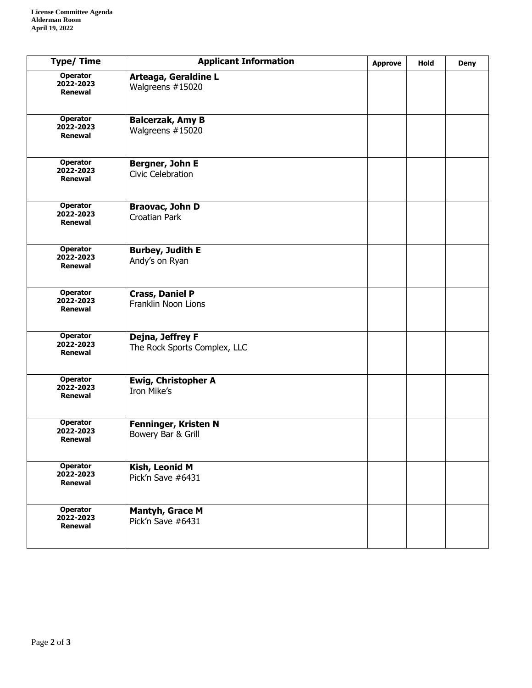| <b>Type/Time</b>                               | <b>Applicant Information</b>                     | <b>Approve</b> | Hold | <b>Deny</b> |
|------------------------------------------------|--------------------------------------------------|----------------|------|-------------|
| Operator<br>2022-2023<br><b>Renewal</b>        | Arteaga, Geraldine L<br>Walgreens #15020         |                |      |             |
| <b>Operator</b><br>2022-2023<br><b>Renewal</b> | <b>Balcerzak, Amy B</b><br>Walgreens #15020      |                |      |             |
| <b>Operator</b><br>2022-2023<br>Renewal        | Bergner, John E<br><b>Civic Celebration</b>      |                |      |             |
| Operator<br>2022-2023<br><b>Renewal</b>        | Braovac, John D<br><b>Croatian Park</b>          |                |      |             |
| <b>Operator</b><br>2022-2023<br><b>Renewal</b> | <b>Burbey, Judith E</b><br>Andy's on Ryan        |                |      |             |
| <b>Operator</b><br>2022-2023<br><b>Renewal</b> | <b>Crass, Daniel P</b><br>Franklin Noon Lions    |                |      |             |
| Operator<br>2022-2023<br><b>Renewal</b>        | Dejna, Jeffrey F<br>The Rock Sports Complex, LLC |                |      |             |
| <b>Operator</b><br>2022-2023<br><b>Renewal</b> | Ewig, Christopher A<br>Iron Mike's               |                |      |             |
| <b>Operator</b><br>2022-2023<br>Renewal        | Fenninger, Kristen N<br>Bowery Bar & Grill       |                |      |             |
| <b>Operator</b><br>2022-2023<br>Renewal        | Kish, Leonid M<br>Pick'n Save #6431              |                |      |             |
| <b>Operator</b><br>2022-2023<br>Renewal        | <b>Mantyh, Grace M</b><br>Pick'n Save #6431      |                |      |             |